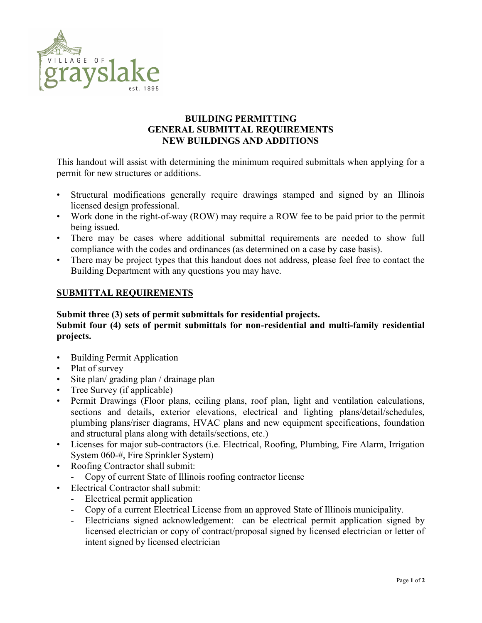

## BUILDING PERMITTING GENERAL SUBMITTAL REQUIREMENTS NEW BUILDINGS AND ADDITIONS

This handout will assist with determining the minimum required submittals when applying for a permit for new structures or additions.

- Structural modifications generally require drawings stamped and signed by an Illinois licensed design professional.
- Work done in the right-of-way (ROW) may require a ROW fee to be paid prior to the permit being issued.
- There may be cases where additional submittal requirements are needed to show full compliance with the codes and ordinances (as determined on a case by case basis).
- There may be project types that this handout does not address, please feel free to contact the Building Department with any questions you may have.

## SUBMITTAL REQUIREMENTS

## Submit three (3) sets of permit submittals for residential projects. Submit four (4) sets of permit submittals for non-residential and multi-family residential projects.

- Building Permit Application
- Plat of survey
- Site plan/ grading plan / drainage plan
- Tree Survey (if applicable)
- Permit Drawings (Floor plans, ceiling plans, roof plan, light and ventilation calculations, sections and details, exterior elevations, electrical and lighting plans/detail/schedules, plumbing plans/riser diagrams, HVAC plans and new equipment specifications, foundation and structural plans along with details/sections, etc.)
- Licenses for major sub-contractors (i.e. Electrical, Roofing, Plumbing, Fire Alarm, Irrigation System 060-#, Fire Sprinkler System)
- Roofing Contractor shall submit:
	- Copy of current State of Illinois roofing contractor license
- Electrical Contractor shall submit:
	- Electrical permit application
	- Copy of a current Electrical License from an approved State of Illinois municipality.
	- Electricians signed acknowledgement: can be electrical permit application signed by licensed electrician or copy of contract/proposal signed by licensed electrician or letter of intent signed by licensed electrician